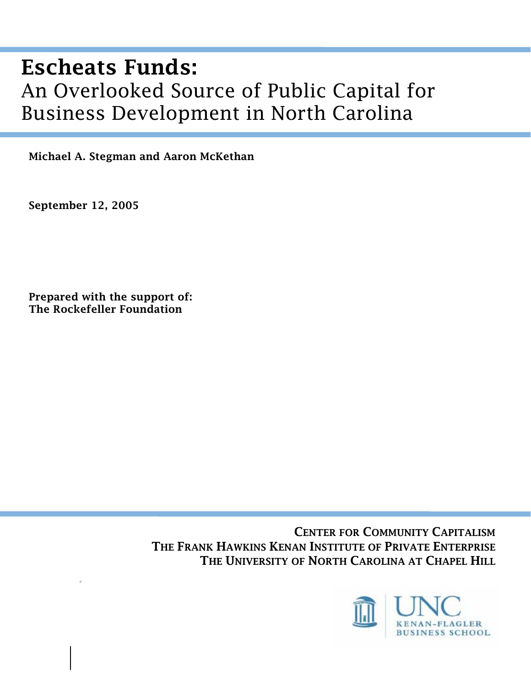# Escheats Funds: An Overlooked Source of Public Capital for Business Development in North Carolina

Michael A. Stegman and Aaron McKethan

September 12, 2005

*.* 

Prepared with the support of: The Rockefeller Foundation

> CENTER FOR COMMUNITY CAPITALISM THE FRANK HAWKINS KENAN INSTITUTE OF PRIVATE ENTERPRISE THE UNIVERSITY OF NORTH CAROLINA AT CHAPEL HILL

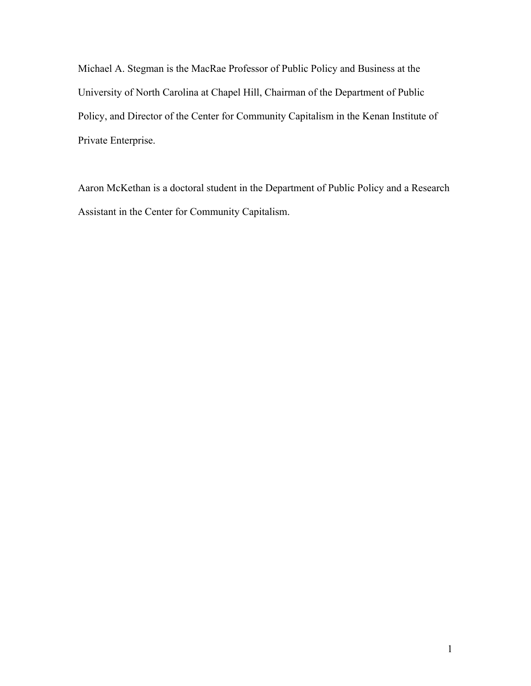Michael A. Stegman is the MacRae Professor of Public Policy and Business at the University of North Carolina at Chapel Hill, Chairman of the Department of Public Policy, and Director of the Center for Community Capitalism in the Kenan Institute of Private Enterprise.

Aaron McKethan is a doctoral student in the Department of Public Policy and a Research Assistant in the Center for Community Capitalism.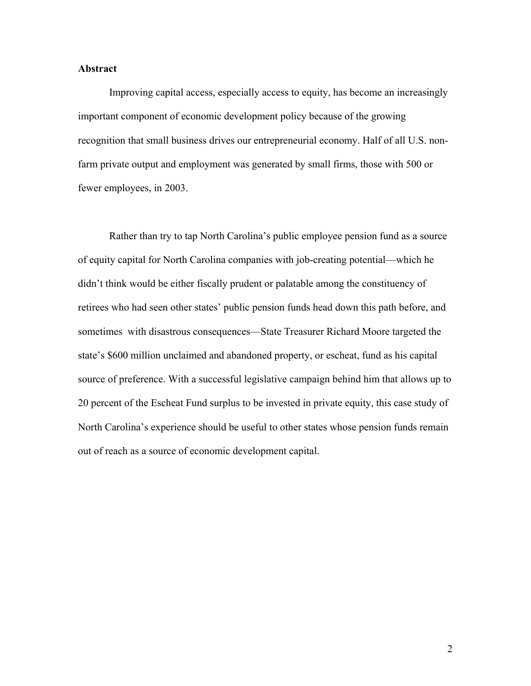#### **Abstract**

Improving capital access, especially access to equity, has become an increasingly important component of economic development policy because of the growing recognition that small business drives our entrepreneurial economy. Half of all U.S. nonfarm private output and employment was generated by small firms, those with 500 or fewer employees, in 2003.

Rather than try to tap North Carolina's public employee pension fund as a source of equity capital for North Carolina companies with job-creating potential—which he didn't think would be either fiscally prudent or palatable among the constituency of retirees who had seen other states' public pension funds head down this path before, and sometimes with disastrous consequences—State Treasurer Richard Moore targeted the state's \$600 million unclaimed and abandoned property, or escheat, fund as his capital source of preference. With a successful legislative campaign behind him that allows up to 20 percent of the Escheat Fund surplus to be invested in private equity, this case study of North Carolina's experience should be useful to other states whose pension funds remain out of reach as a source of economic development capital.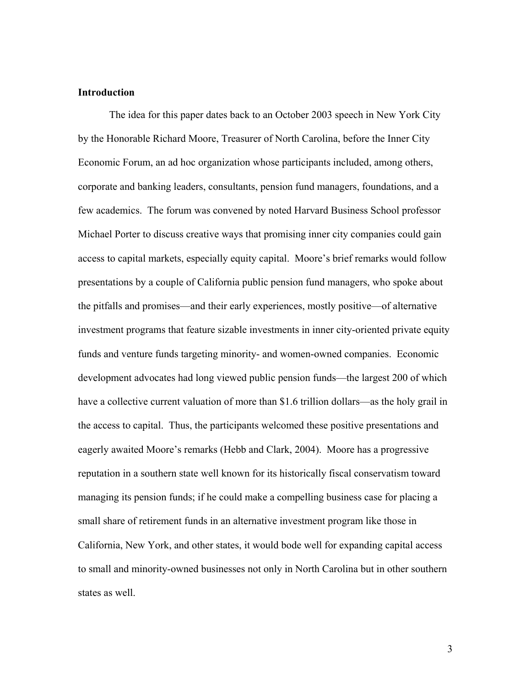# **Introduction**

The idea for this paper dates back to an October 2003 speech in New York City by the Honorable Richard Moore, Treasurer of North Carolina, before the Inner City Economic Forum, an ad hoc organization whose participants included, among others, corporate and banking leaders, consultants, pension fund managers, foundations, and a few academics. The forum was convened by noted Harvard Business School professor Michael Porter to discuss creative ways that promising inner city companies could gain access to capital markets, especially equity capital. Moore's brief remarks would follow presentations by a couple of California public pension fund managers, who spoke about the pitfalls and promises—and their early experiences, mostly positive—of alternative investment programs that feature sizable investments in inner city-oriented private equity funds and venture funds targeting minority- and women-owned companies. Economic development advocates had long viewed public pension funds—the largest 200 of which have a collective current valuation of more than \$1.6 trillion dollars—as the holy grail in the access to capital. Thus, the participants welcomed these positive presentations and eagerly awaited Moore's remarks (Hebb and Clark, 2004). Moore has a progressive reputation in a southern state well known for its historically fiscal conservatism toward managing its pension funds; if he could make a compelling business case for placing a small share of retirement funds in an alternative investment program like those in California, New York, and other states, it would bode well for expanding capital access to small and minority-owned businesses not only in North Carolina but in other southern states as well.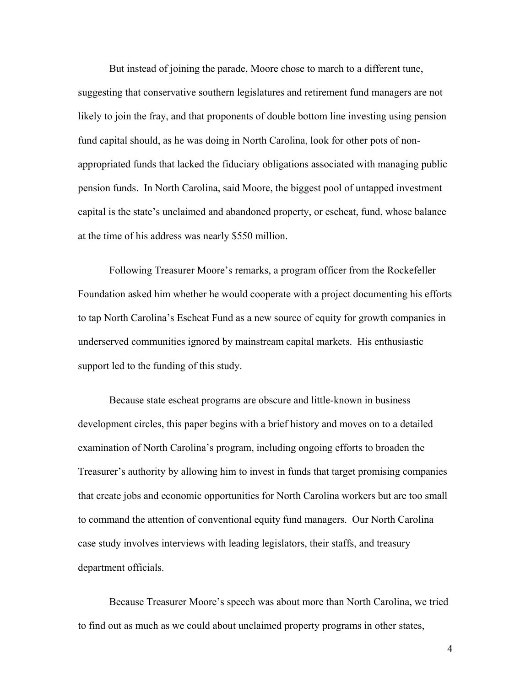But instead of joining the parade, Moore chose to march to a different tune, suggesting that conservative southern legislatures and retirement fund managers are not likely to join the fray, and that proponents of double bottom line investing using pension fund capital should, as he was doing in North Carolina, look for other pots of nonappropriated funds that lacked the fiduciary obligations associated with managing public pension funds. In North Carolina, said Moore, the biggest pool of untapped investment capital is the state's unclaimed and abandoned property, or escheat, fund, whose balance at the time of his address was nearly \$550 million.

Following Treasurer Moore's remarks, a program officer from the Rockefeller Foundation asked him whether he would cooperate with a project documenting his efforts to tap North Carolina's Escheat Fund as a new source of equity for growth companies in underserved communities ignored by mainstream capital markets. His enthusiastic support led to the funding of this study.

Because state escheat programs are obscure and little-known in business development circles, this paper begins with a brief history and moves on to a detailed examination of North Carolina's program, including ongoing efforts to broaden the Treasurer's authority by allowing him to invest in funds that target promising companies that create jobs and economic opportunities for North Carolina workers but are too small to command the attention of conventional equity fund managers. Our North Carolina case study involves interviews with leading legislators, their staffs, and treasury department officials.

Because Treasurer Moore's speech was about more than North Carolina, we tried to find out as much as we could about unclaimed property programs in other states,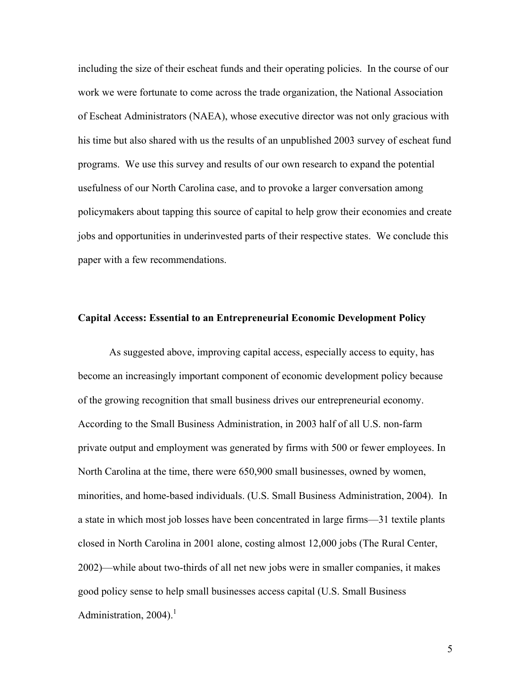including the size of their escheat funds and their operating policies. In the course of our work we were fortunate to come across the trade organization, the National Association of Escheat Administrators (NAEA), whose executive director was not only gracious with his time but also shared with us the results of an unpublished 2003 survey of escheat fund programs. We use this survey and results of our own research to expand the potential usefulness of our North Carolina case, and to provoke a larger conversation among policymakers about tapping this source of capital to help grow their economies and create jobs and opportunities in underinvested parts of their respective states. We conclude this paper with a few recommendations.

#### **Capital Access: Essential to an Entrepreneurial Economic Development Policy**

As suggested above, improving capital access, especially access to equity, has become an increasingly important component of economic development policy because of the growing recognition that small business drives our entrepreneurial economy. According to the Small Business Administration, in 2003 half of all U.S. non-farm private output and employment was generated by firms with 500 or fewer employees. In North Carolina at the time, there were 650,900 small businesses, owned by women, minorities, and home-based individuals. (U.S. Small Business Administration, 2004). In a state in which most job losses have been concentrated in large firms—31 textile plants closed in North Carolina in 2001 alone, costing almost 12,000 jobs (The Rural Center, 2002)—while about two-thirds of all net new jobs were in smaller companies, it makes good policy sense to help small businesses access capital (U.S. Small Business Administration,  $2004$ ).<sup>1</sup>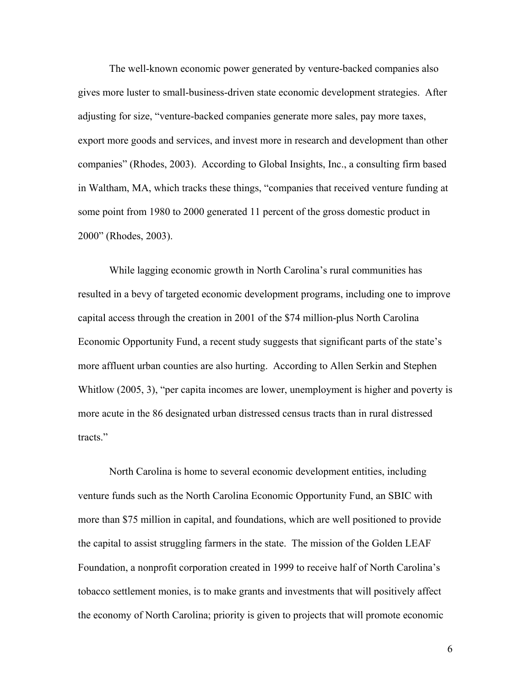The well-known economic power generated by venture-backed companies also gives more luster to small-business-driven state economic development strategies. After adjusting for size, "venture-backed companies generate more sales, pay more taxes, export more goods and services, and invest more in research and development than other companies" (Rhodes, 2003). According to Global Insights, Inc., a consulting firm based in Waltham, MA, which tracks these things, "companies that received venture funding at some point from 1980 to 2000 generated 11 percent of the gross domestic product in 2000" (Rhodes, 2003).

While lagging economic growth in North Carolina's rural communities has resulted in a bevy of targeted economic development programs, including one to improve capital access through the creation in 2001 of the \$74 million-plus North Carolina Economic Opportunity Fund, a recent study suggests that significant parts of the state's more affluent urban counties are also hurting. According to Allen Serkin and Stephen Whitlow (2005, 3), "per capita incomes are lower, unemployment is higher and poverty is more acute in the 86 designated urban distressed census tracts than in rural distressed tracts."

North Carolina is home to several economic development entities, including venture funds such as the North Carolina Economic Opportunity Fund, an SBIC with more than \$75 million in capital, and foundations, which are well positioned to provide the capital to assist struggling farmers in the state. The mission of the Golden LEAF Foundation, a nonprofit corporation created in 1999 to receive half of North Carolina's tobacco settlement monies, is to make grants and investments that will positively affect the economy of North Carolina; priority is given to projects that will promote economic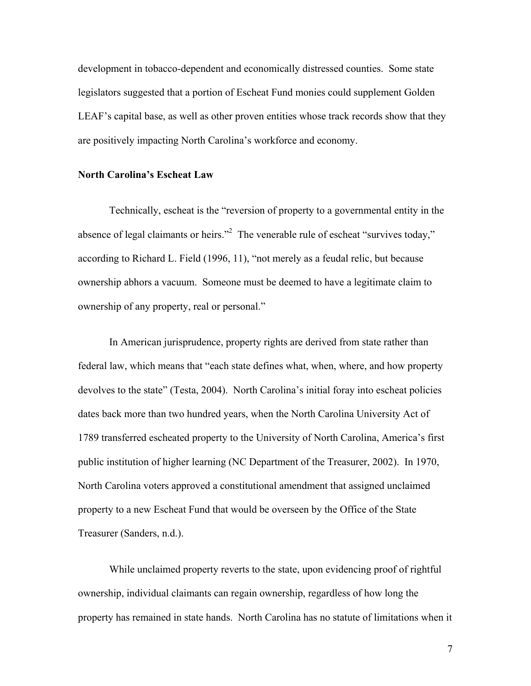development in tobacco-dependent and economically distressed counties. Some state legislators suggested that a portion of Escheat Fund monies could supplement Golden LEAF's capital base, as well as other proven entities whose track records show that they are positively impacting North Carolina's workforce and economy.

#### **North Carolina's Escheat Law**

Technically, escheat is the "reversion of property to a governmental entity in the absence of legal claimants or heirs."<sup>2</sup> The venerable rule of escheat "survives today," according to Richard L. Field (1996, 11), "not merely as a feudal relic, but because ownership abhors a vacuum. Someone must be deemed to have a legitimate claim to ownership of any property, real or personal."

In American jurisprudence, property rights are derived from state rather than federal law, which means that "each state defines what, when, where, and how property devolves to the state" (Testa, 2004). North Carolina's initial foray into escheat policies dates back more than two hundred years, when the North Carolina University Act of 1789 transferred escheated property to the University of North Carolina, America's first public institution of higher learning (NC Department of the Treasurer, 2002). In 1970, North Carolina voters approved a constitutional amendment that assigned unclaimed property to a new Escheat Fund that would be overseen by the Office of the State Treasurer (Sanders, n.d.).

While unclaimed property reverts to the state, upon evidencing proof of rightful ownership, individual claimants can regain ownership, regardless of how long the property has remained in state hands. North Carolina has no statute of limitations when it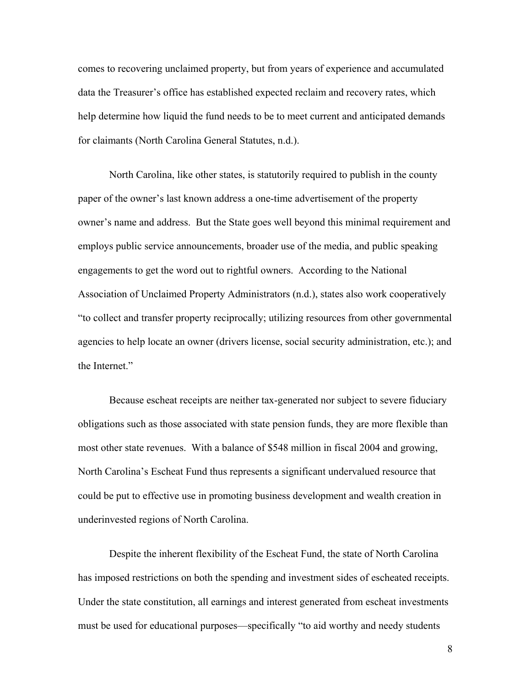comes to recovering unclaimed property, but from years of experience and accumulated data the Treasurer's office has established expected reclaim and recovery rates, which help determine how liquid the fund needs to be to meet current and anticipated demands for claimants (North Carolina General Statutes, n.d.).

North Carolina, like other states, is statutorily required to publish in the county paper of the owner's last known address a one-time advertisement of the property owner's name and address. But the State goes well beyond this minimal requirement and employs public service announcements, broader use of the media, and public speaking engagements to get the word out to rightful owners. According to the National Association of Unclaimed Property Administrators (n.d.), states also work cooperatively "to collect and transfer property reciprocally; utilizing resources from other governmental agencies to help locate an owner (drivers license, social security administration, etc.); and the Internet."

Because escheat receipts are neither tax-generated nor subject to severe fiduciary obligations such as those associated with state pension funds, they are more flexible than most other state revenues. With a balance of \$548 million in fiscal 2004 and growing, North Carolina's Escheat Fund thus represents a significant undervalued resource that could be put to effective use in promoting business development and wealth creation in underinvested regions of North Carolina.

Despite the inherent flexibility of the Escheat Fund, the state of North Carolina has imposed restrictions on both the spending and investment sides of escheated receipts. Under the state constitution, all earnings and interest generated from escheat investments must be used for educational purposes—specifically "to aid worthy and needy students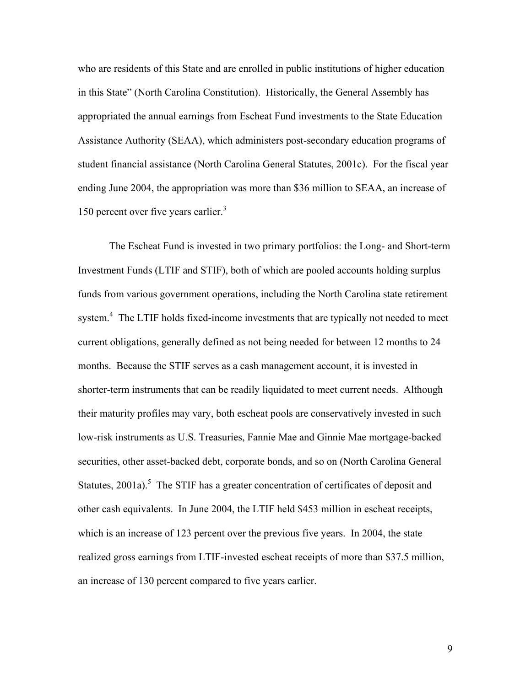who are residents of this State and are enrolled in public institutions of higher education in this State" (North Carolina Constitution). Historically, the General Assembly has appropriated the annual earnings from Escheat Fund investments to the State Education Assistance Authority (SEAA), which administers post-secondary education programs of student financial assistance (North Carolina General Statutes, 2001c). For the fiscal year ending June 2004, the appropriation was more than \$36 million to SEAA, an increase of 150 percent over five years earlier.<sup>3</sup>

The Escheat Fund is invested in two primary portfolios: the Long- and Short-term Investment Funds (LTIF and STIF), both of which are pooled accounts holding surplus funds from various government operations, including the North Carolina state retirement system.<sup>4</sup> The LTIF holds fixed-income investments that are typically not needed to meet current obligations, generally defined as not being needed for between 12 months to 24 months. Because the STIF serves as a cash management account, it is invested in shorter-term instruments that can be readily liquidated to meet current needs. Although their maturity profiles may vary, both escheat pools are conservatively invested in such low-risk instruments as U.S. Treasuries, Fannie Mae and Ginnie Mae mortgage-backed securities, other asset-backed debt, corporate bonds, and so on (North Carolina General Statutes,  $2001a$ .<sup>5</sup> The STIF has a greater concentration of certificates of deposit and other cash equivalents. In June 2004, the LTIF held \$453 million in escheat receipts, which is an increase of 123 percent over the previous five years. In 2004, the state realized gross earnings from LTIF-invested escheat receipts of more than \$37.5 million, an increase of 130 percent compared to five years earlier.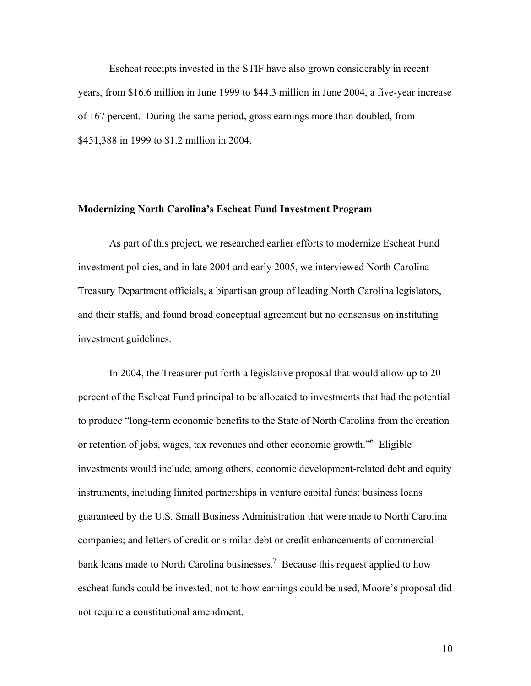Escheat receipts invested in the STIF have also grown considerably in recent years, from \$16.6 million in June 1999 to \$44.3 million in June 2004, a five-year increase of 167 percent. During the same period, gross earnings more than doubled, from \$451,388 in 1999 to \$1.2 million in 2004.

## **Modernizing North Carolina's Escheat Fund Investment Program**

As part of this project, we researched earlier efforts to modernize Escheat Fund investment policies, and in late 2004 and early 2005, we interviewed North Carolina Treasury Department officials, a bipartisan group of leading North Carolina legislators, and their staffs, and found broad conceptual agreement but no consensus on instituting investment guidelines.

In 2004, the Treasurer put forth a legislative proposal that would allow up to 20 percent of the Escheat Fund principal to be allocated to investments that had the potential to produce "long-term economic benefits to the State of North Carolina from the creation or retention of jobs, wages, tax revenues and other economic growth."<sup>6</sup> Eligible investments would include, among others, economic development-related debt and equity instruments, including limited partnerships in venture capital funds; business loans guaranteed by the U.S. Small Business Administration that were made to North Carolina companies; and letters of credit or similar debt or credit enhancements of commercial bank loans made to North Carolina businesses.<sup>7</sup> Because this request applied to how escheat funds could be invested, not to how earnings could be used, Moore's proposal did not require a constitutional amendment.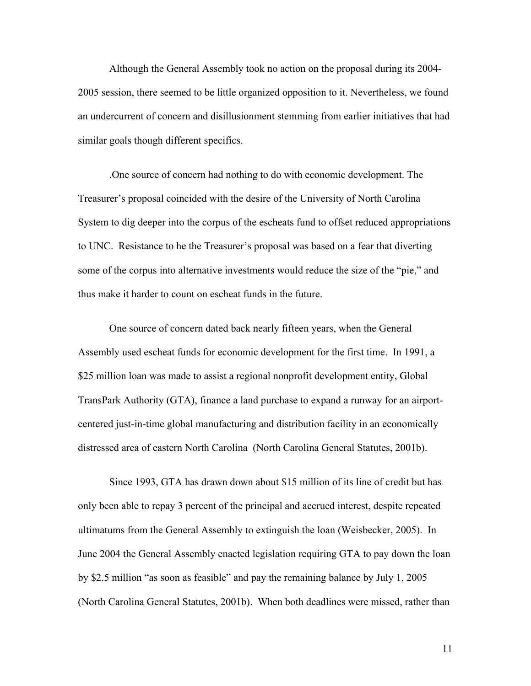Although the General Assembly took no action on the proposal during its 2004- 2005 session, there seemed to be little organized opposition to it. Nevertheless, we found an undercurrent of concern and disillusionment stemming from earlier initiatives that had similar goals though different specifics.

.One source of concern had nothing to do with economic development. The Treasurer's proposal coincided with the desire of the University of North Carolina System to dig deeper into the corpus of the escheats fund to offset reduced appropriations to UNC. Resistance to he the Treasurer's proposal was based on a fear that diverting some of the corpus into alternative investments would reduce the size of the "pie," and thus make it harder to count on escheat funds in the future.

One source of concern dated back nearly fifteen years, when the General Assembly used escheat funds for economic development for the first time. In 1991, a \$25 million loan was made to assist a regional nonprofit development entity, Global TransPark Authority (GTA), finance a land purchase to expand a runway for an airportcentered just-in-time global manufacturing and distribution facility in an economically distressed area of eastern North Carolina (North Carolina General Statutes, 2001b).

Since 1993, GTA has drawn down about \$15 million of its line of credit but has only been able to repay 3 percent of the principal and accrued interest, despite repeated ultimatums from the General Assembly to extinguish the loan (Weisbecker, 2005). In June 2004 the General Assembly enacted legislation requiring GTA to pay down the loan by \$2.5 million "as soon as feasible" and pay the remaining balance by July 1, 2005 (North Carolina General Statutes, 2001b). When both deadlines were missed, rather than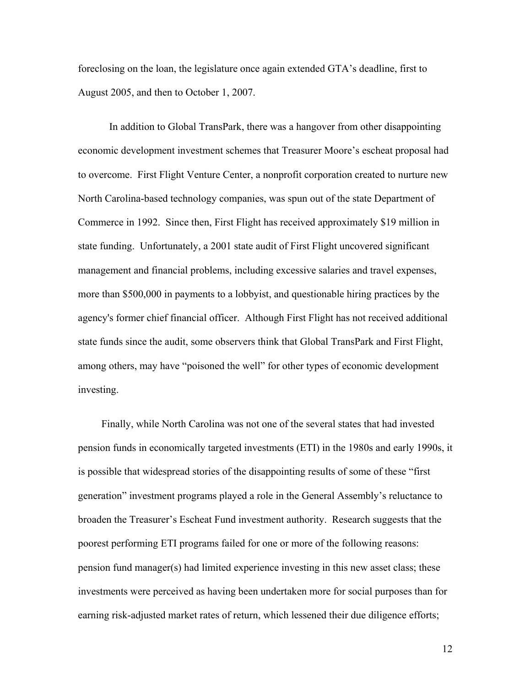foreclosing on the loan, the legislature once again extended GTA's deadline, first to August 2005, and then to October 1, 2007.

In addition to Global TransPark, there was a hangover from other disappointing economic development investment schemes that Treasurer Moore's escheat proposal had to overcome. First Flight Venture Center, a nonprofit corporation created to nurture new North Carolina-based technology companies, was spun out of the state Department of Commerce in 1992. Since then, First Flight has received approximately \$19 million in state funding. Unfortunately, a 2001 state audit of First Flight uncovered significant management and financial problems, including excessive salaries and travel expenses, more than \$500,000 in payments to a lobbyist, and questionable hiring practices by the agency's former chief financial officer. Although First Flight has not received additional state funds since the audit, some observers think that Global TransPark and First Flight, among others, may have "poisoned the well" for other types of economic development investing.

Finally, while North Carolina was not one of the several states that had invested pension funds in economically targeted investments (ETI) in the 1980s and early 1990s, it is possible that widespread stories of the disappointing results of some of these "first generation" investment programs played a role in the General Assembly's reluctance to broaden the Treasurer's Escheat Fund investment authority. Research suggests that the poorest performing ETI programs failed for one or more of the following reasons: pension fund manager(s) had limited experience investing in this new asset class; these investments were perceived as having been undertaken more for social purposes than for earning risk-adjusted market rates of return, which lessened their due diligence efforts;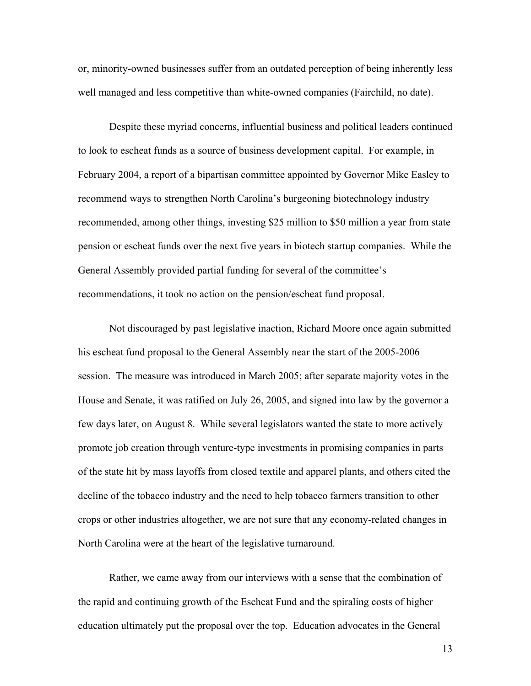or, minority-owned businesses suffer from an outdated perception of being inherently less well managed and less competitive than white-owned companies (Fairchild, no date).

Despite these myriad concerns, influential business and political leaders continued to look to escheat funds as a source of business development capital. For example, in February 2004, a report of a bipartisan committee appointed by Governor Mike Easley to recommend ways to strengthen North Carolina's burgeoning biotechnology industry recommended, among other things, investing \$25 million to \$50 million a year from state pension or escheat funds over the next five years in biotech startup companies. While the General Assembly provided partial funding for several of the committee's recommendations, it took no action on the pension/escheat fund proposal.

Not discouraged by past legislative inaction, Richard Moore once again submitted his escheat fund proposal to the General Assembly near the start of the 2005-2006 session. The measure was introduced in March 2005; after separate majority votes in the House and Senate, it was ratified on July 26, 2005, and signed into law by the governor a few days later, on August 8. While several legislators wanted the state to more actively promote job creation through venture-type investments in promising companies in parts of the state hit by mass layoffs from closed textile and apparel plants, and others cited the decline of the tobacco industry and the need to help tobacco farmers transition to other crops or other industries altogether, we are not sure that any economy-related changes in North Carolina were at the heart of the legislative turnaround.

Rather, we came away from our interviews with a sense that the combination of the rapid and continuing growth of the Escheat Fund and the spiraling costs of higher education ultimately put the proposal over the top. Education advocates in the General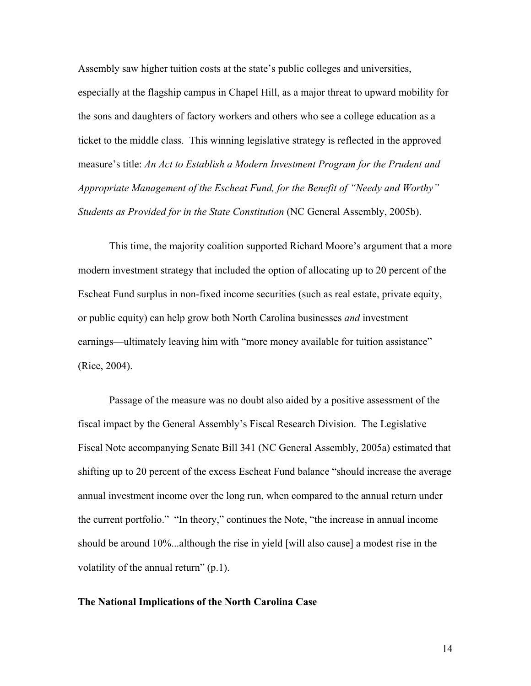Assembly saw higher tuition costs at the state's public colleges and universities, especially at the flagship campus in Chapel Hill, as a major threat to upward mobility for the sons and daughters of factory workers and others who see a college education as a ticket to the middle class. This winning legislative strategy is reflected in the approved measure's title: *An Act to Establish a Modern Investment Program for the Prudent and Appropriate Management of the Escheat Fund, for the Benefit of "Needy and Worthy" Students as Provided for in the State Constitution* (NC General Assembly, 2005b).

This time, the majority coalition supported Richard Moore's argument that a more modern investment strategy that included the option of allocating up to 20 percent of the Escheat Fund surplus in non-fixed income securities (such as real estate, private equity, or public equity) can help grow both North Carolina businesses *and* investment earnings—ultimately leaving him with "more money available for tuition assistance" (Rice, 2004).

Passage of the measure was no doubt also aided by a positive assessment of the fiscal impact by the General Assembly's Fiscal Research Division. The Legislative Fiscal Note accompanying Senate Bill 341 (NC General Assembly, 2005a) estimated that shifting up to 20 percent of the excess Escheat Fund balance "should increase the average annual investment income over the long run, when compared to the annual return under the current portfolio." "In theory," continues the Note, "the increase in annual income should be around 10%...although the rise in yield [will also cause] a modest rise in the volatility of the annual return" (p.1).

#### **The National Implications of the North Carolina Case**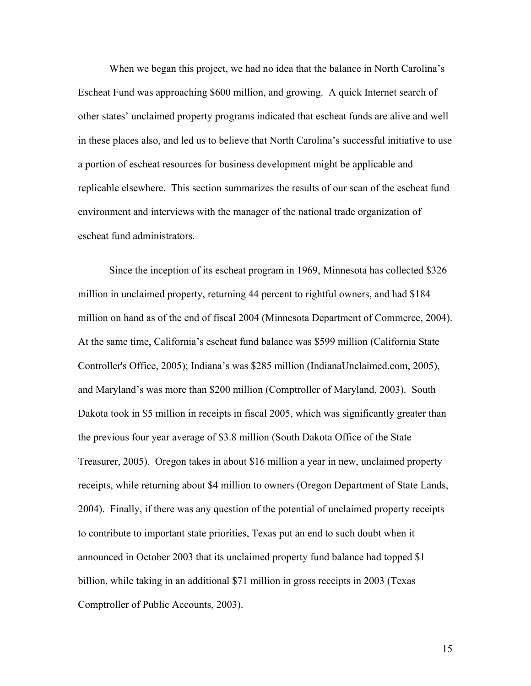When we began this project, we had no idea that the balance in North Carolina's Escheat Fund was approaching \$600 million, and growing. A quick Internet search of other states' unclaimed property programs indicated that escheat funds are alive and well in these places also, and led us to believe that North Carolina's successful initiative to use a portion of escheat resources for business development might be applicable and replicable elsewhere. This section summarizes the results of our scan of the escheat fund environment and interviews with the manager of the national trade organization of escheat fund administrators.

Since the inception of its escheat program in 1969, Minnesota has collected \$326 million in unclaimed property, returning 44 percent to rightful owners, and had \$184 million on hand as of the end of fiscal 2004 (Minnesota Department of Commerce, 2004). At the same time, California's escheat fund balance was \$599 million (California State Controller's Office, 2005); Indiana's was \$285 million (IndianaUnclaimed.com, 2005), and Maryland's was more than \$200 million (Comptroller of Maryland, 2003). South Dakota took in \$5 million in receipts in fiscal 2005, which was significantly greater than the previous four year average of \$3.8 million (South Dakota Office of the State Treasurer, 2005). Oregon takes in about \$16 million a year in new, unclaimed property receipts, while returning about \$4 million to owners (Oregon Department of State Lands, 2004). Finally, if there was any question of the potential of unclaimed property receipts to contribute to important state priorities, Texas put an end to such doubt when it announced in October 2003 that its unclaimed property fund balance had topped \$1 billion, while taking in an additional \$71 million in gross receipts in 2003 (Texas Comptroller of Public Accounts, 2003).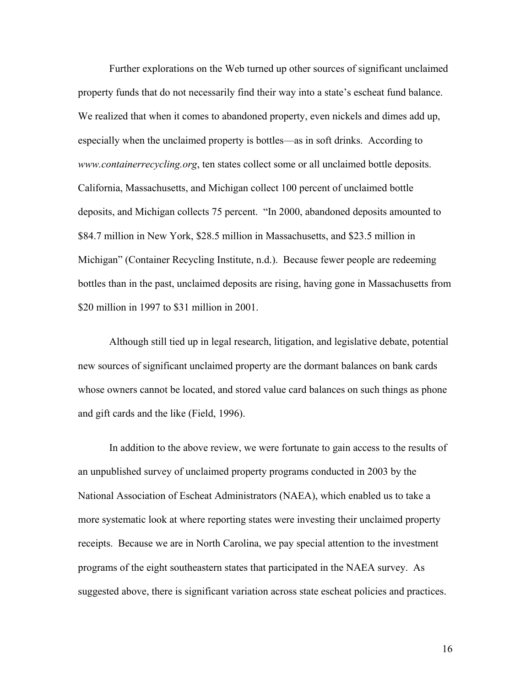Further explorations on the Web turned up other sources of significant unclaimed property funds that do not necessarily find their way into a state's escheat fund balance. We realized that when it comes to abandoned property, even nickels and dimes add up, especially when the unclaimed property is bottles—as in soft drinks. According to *www.containerrecycling.org*, ten states collect some or all unclaimed bottle deposits. California, Massachusetts, and Michigan collect 100 percent of unclaimed bottle deposits, and Michigan collects 75 percent. "In 2000, abandoned deposits amounted to \$84.7 million in New York, \$28.5 million in Massachusetts, and \$23.5 million in Michigan" (Container Recycling Institute, n.d.). Because fewer people are redeeming bottles than in the past, unclaimed deposits are rising, having gone in Massachusetts from \$20 million in 1997 to \$31 million in 2001.

Although still tied up in legal research, litigation, and legislative debate, potential new sources of significant unclaimed property are the dormant balances on bank cards whose owners cannot be located, and stored value card balances on such things as phone and gift cards and the like (Field, 1996).

In addition to the above review, we were fortunate to gain access to the results of an unpublished survey of unclaimed property programs conducted in 2003 by the National Association of Escheat Administrators (NAEA), which enabled us to take a more systematic look at where reporting states were investing their unclaimed property receipts. Because we are in North Carolina, we pay special attention to the investment programs of the eight southeastern states that participated in the NAEA survey. As suggested above, there is significant variation across state escheat policies and practices.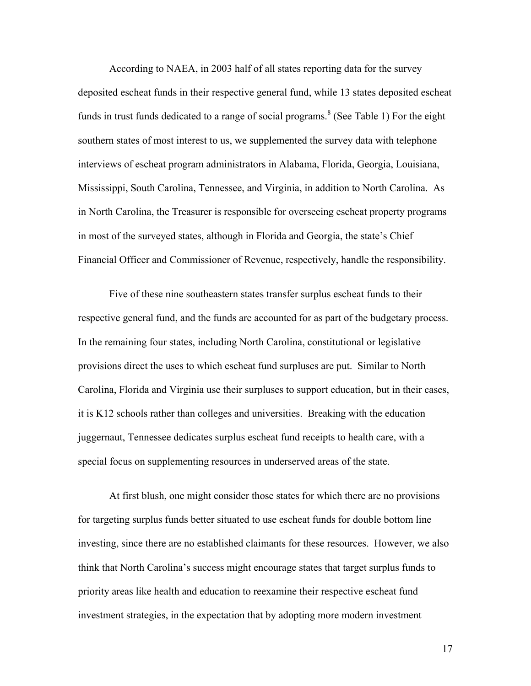According to NAEA, in 2003 half of all states reporting data for the survey deposited escheat funds in their respective general fund, while 13 states deposited escheat funds in trust funds dedicated to a range of social programs.<sup>8</sup> (See Table 1) For the eight southern states of most interest to us, we supplemented the survey data with telephone interviews of escheat program administrators in Alabama, Florida, Georgia, Louisiana, Mississippi, South Carolina, Tennessee, and Virginia, in addition to North Carolina. As in North Carolina, the Treasurer is responsible for overseeing escheat property programs in most of the surveyed states, although in Florida and Georgia, the state's Chief Financial Officer and Commissioner of Revenue, respectively, handle the responsibility.

Five of these nine southeastern states transfer surplus escheat funds to their respective general fund, and the funds are accounted for as part of the budgetary process. In the remaining four states, including North Carolina, constitutional or legislative provisions direct the uses to which escheat fund surpluses are put. Similar to North Carolina, Florida and Virginia use their surpluses to support education, but in their cases, it is K12 schools rather than colleges and universities. Breaking with the education juggernaut, Tennessee dedicates surplus escheat fund receipts to health care, with a special focus on supplementing resources in underserved areas of the state.

At first blush, one might consider those states for which there are no provisions for targeting surplus funds better situated to use escheat funds for double bottom line investing, since there are no established claimants for these resources. However, we also think that North Carolina's success might encourage states that target surplus funds to priority areas like health and education to reexamine their respective escheat fund investment strategies, in the expectation that by adopting more modern investment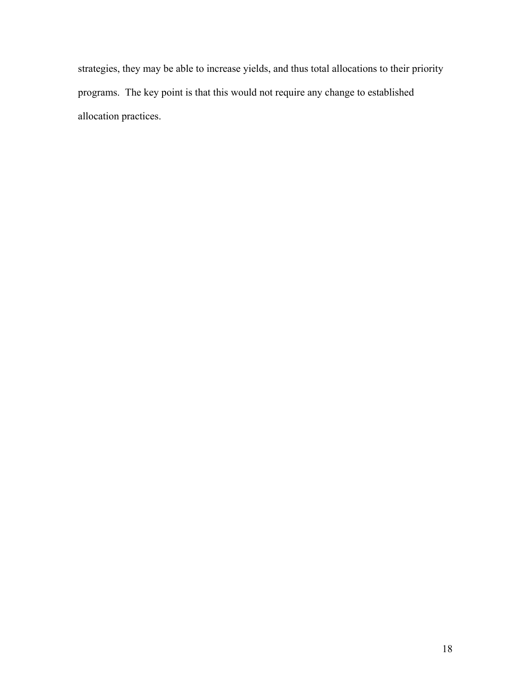strategies, they may be able to increase yields, and thus total allocations to their priority programs. The key point is that this would not require any change to established allocation practices.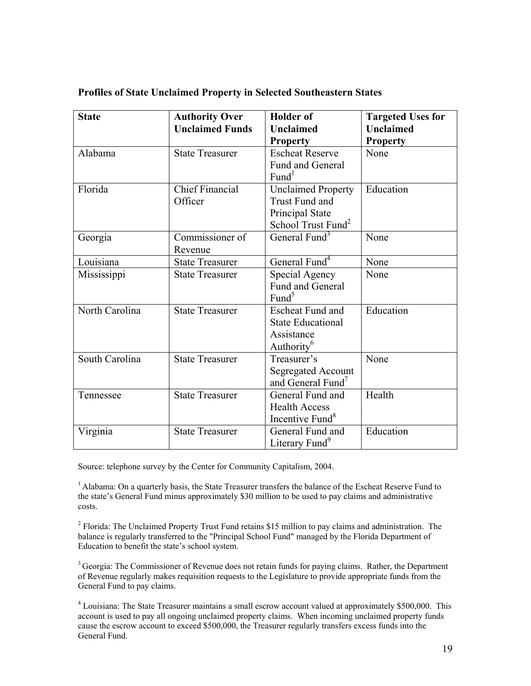| <b>State</b>   | <b>Authority Over</b><br><b>Unclaimed Funds</b> | <b>Holder</b> of<br><b>Unclaimed</b><br><b>Property</b>                                                 | <b>Targeted Uses for</b><br><b>Unclaimed</b><br><b>Property</b> |
|----------------|-------------------------------------------------|---------------------------------------------------------------------------------------------------------|-----------------------------------------------------------------|
| Alabama        | <b>State Treasurer</b>                          | <b>Escheat Reserve</b><br>Fund and General<br>Fund <sup>1</sup>                                         | None                                                            |
| Florida        | <b>Chief Financial</b><br>Officer               | <b>Unclaimed Property</b><br><b>Trust Fund and</b><br>Principal State<br>School Trust Fund <sup>2</sup> | Education                                                       |
| Georgia        | Commissioner of<br>Revenue                      | General Fund <sup>3</sup>                                                                               | None                                                            |
| Louisiana      | <b>State Treasurer</b>                          | General Fund <sup>4</sup>                                                                               | None                                                            |
| Mississippi    | <b>State Treasurer</b>                          | Special Agency<br><b>Fund and General</b><br>Fund <sup>5</sup>                                          | None                                                            |
| North Carolina | <b>State Treasurer</b>                          | <b>Escheat Fund and</b><br><b>State Educational</b><br>Assistance<br>Authority <sup>6</sup>             | Education                                                       |
| South Carolina | <b>State Treasurer</b>                          | Treasurer's<br><b>Segregated Account</b><br>and General Fund <sup>7</sup>                               | None                                                            |
| Tennessee      | <b>State Treasurer</b>                          | General Fund and<br><b>Health Access</b><br>Incentive Fund <sup>8</sup>                                 | Health                                                          |
| Virginia       | <b>State Treasurer</b>                          | General Fund and<br>Literary Fund <sup>9</sup>                                                          | Education                                                       |

# **Profiles of State Unclaimed Property in Selected Southeastern States**

Source: telephone survey by the Center for Community Capitalism, 2004.

<sup>1</sup> Alabama: On a quarterly basis, the State Treasurer transfers the balance of the Escheat Reserve Fund to the state's General Fund minus approximately \$30 million to be used to pay claims and administrative costs.

<sup>2</sup> Florida: The Unclaimed Property Trust Fund retains \$15 million to pay claims and administration. The balance is regularly transferred to the "Principal School Fund" managed by the Florida Department of Education to benefit the state's school system.

<sup>3</sup> Georgia: The Commissioner of Revenue does not retain funds for paying claims. Rather, the Department of Revenue regularly makes requisition requests to the Legislature to provide appropriate funds from the General Fund to pay claims.

<sup>4</sup> Louisiana: The State Treasurer maintains a small escrow account valued at approximately \$500,000. This account is used to pay all ongoing unclaimed property claims. When incoming unclaimed property funds cause the escrow account to exceed \$500,000, the Treasurer regularly transfers excess funds into the General Fund.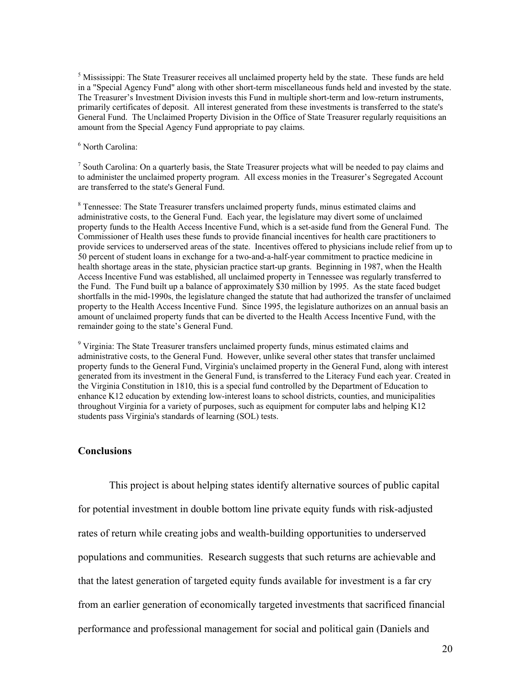<sup>5</sup> Mississippi: The State Treasurer receives all unclaimed property held by the state. These funds are held in a "Special Agency Fund" along with other short-term miscellaneous funds held and invested by the state. The Treasurer's Investment Division invests this Fund in multiple short-term and low-return instruments, primarily certificates of deposit. All interest generated from these investments is transferred to the state's General Fund. The Unclaimed Property Division in the Office of State Treasurer regularly requisitions an amount from the Special Agency Fund appropriate to pay claims.

6 North Carolina:

 $<sup>7</sup>$  South Carolina: On a quarterly basis, the State Treasurer projects what will be needed to pay claims and</sup> to administer the unclaimed property program. All excess monies in the Treasurer's Segregated Account are transferred to the state's General Fund.

<sup>8</sup> Tennessee: The State Treasurer transfers unclaimed property funds, minus estimated claims and administrative costs, to the General Fund. Each year, the legislature may divert some of unclaimed property funds to the Health Access Incentive Fund, which is a set-aside fund from the General Fund. The Commissioner of Health uses these funds to provide financial incentives for health care practitioners to provide services to underserved areas of the state. Incentives offered to physicians include relief from up to 50 percent of student loans in exchange for a two-and-a-half-year commitment to practice medicine in health shortage areas in the state, physician practice start-up grants. Beginning in 1987, when the Health Access Incentive Fund was established, all unclaimed property in Tennessee was regularly transferred to the Fund. The Fund built up a balance of approximately \$30 million by 1995. As the state faced budget shortfalls in the mid-1990s, the legislature changed the statute that had authorized the transfer of unclaimed property to the Health Access Incentive Fund. Since 1995, the legislature authorizes on an annual basis an amount of unclaimed property funds that can be diverted to the Health Access Incentive Fund, with the remainder going to the state's General Fund.

<sup>9</sup> Virginia: The State Treasurer transfers unclaimed property funds, minus estimated claims and administrative costs, to the General Fund. However, unlike several other states that transfer unclaimed property funds to the General Fund, Virginia's unclaimed property in the General Fund, along with interest generated from its investment in the General Fund, is transferred to the Literacy Fund each year. Created in the Virginia Constitution in 1810, this is a special fund controlled by the Department of Education to enhance K12 education by extending low-interest loans to school districts, counties, and municipalities throughout Virginia for a variety of purposes, such as equipment for computer labs and helping K12 students pass Virginia's standards of learning (SOL) tests.

#### **Conclusions**

This project is about helping states identify alternative sources of public capital for potential investment in double bottom line private equity funds with risk-adjusted rates of return while creating jobs and wealth-building opportunities to underserved populations and communities. Research suggests that such returns are achievable and that the latest generation of targeted equity funds available for investment is a far cry from an earlier generation of economically targeted investments that sacrificed financial performance and professional management for social and political gain (Daniels and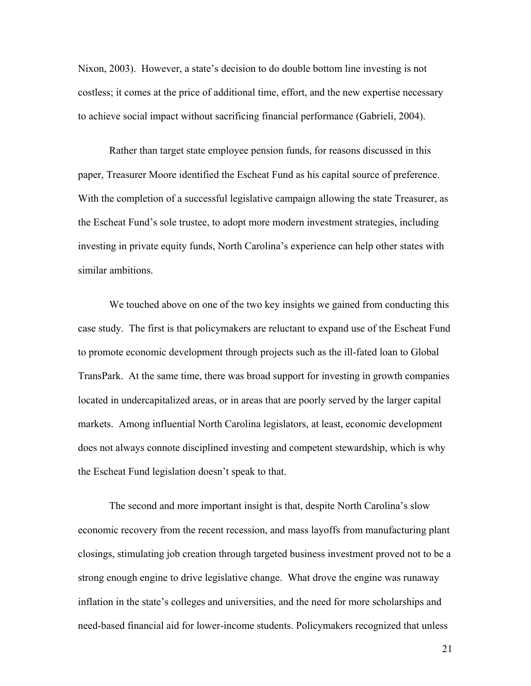Nixon, 2003). However, a state's decision to do double bottom line investing is not costless; it comes at the price of additional time, effort, and the new expertise necessary to achieve social impact without sacrificing financial performance (Gabrieli, 2004).

Rather than target state employee pension funds, for reasons discussed in this paper, Treasurer Moore identified the Escheat Fund as his capital source of preference. With the completion of a successful legislative campaign allowing the state Treasurer, as the Escheat Fund's sole trustee, to adopt more modern investment strategies, including investing in private equity funds, North Carolina's experience can help other states with similar ambitions.

We touched above on one of the two key insights we gained from conducting this case study. The first is that policymakers are reluctant to expand use of the Escheat Fund to promote economic development through projects such as the ill-fated loan to Global TransPark. At the same time, there was broad support for investing in growth companies located in undercapitalized areas, or in areas that are poorly served by the larger capital markets. Among influential North Carolina legislators, at least, economic development does not always connote disciplined investing and competent stewardship, which is why the Escheat Fund legislation doesn't speak to that.

The second and more important insight is that, despite North Carolina's slow economic recovery from the recent recession, and mass layoffs from manufacturing plant closings, stimulating job creation through targeted business investment proved not to be a strong enough engine to drive legislative change. What drove the engine was runaway inflation in the state's colleges and universities, and the need for more scholarships and need-based financial aid for lower-income students. Policymakers recognized that unless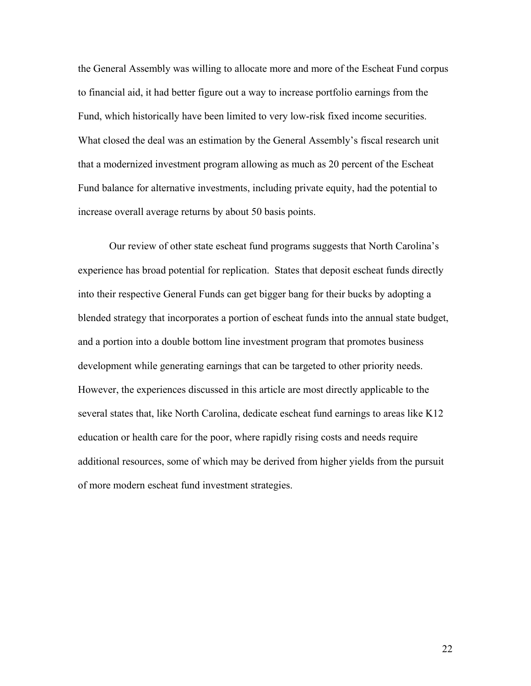the General Assembly was willing to allocate more and more of the Escheat Fund corpus to financial aid, it had better figure out a way to increase portfolio earnings from the Fund, which historically have been limited to very low-risk fixed income securities. What closed the deal was an estimation by the General Assembly's fiscal research unit that a modernized investment program allowing as much as 20 percent of the Escheat Fund balance for alternative investments, including private equity, had the potential to increase overall average returns by about 50 basis points.

Our review of other state escheat fund programs suggests that North Carolina's experience has broad potential for replication. States that deposit escheat funds directly into their respective General Funds can get bigger bang for their bucks by adopting a blended strategy that incorporates a portion of escheat funds into the annual state budget, and a portion into a double bottom line investment program that promotes business development while generating earnings that can be targeted to other priority needs. However, the experiences discussed in this article are most directly applicable to the several states that, like North Carolina, dedicate escheat fund earnings to areas like K12 education or health care for the poor, where rapidly rising costs and needs require additional resources, some of which may be derived from higher yields from the pursuit of more modern escheat fund investment strategies.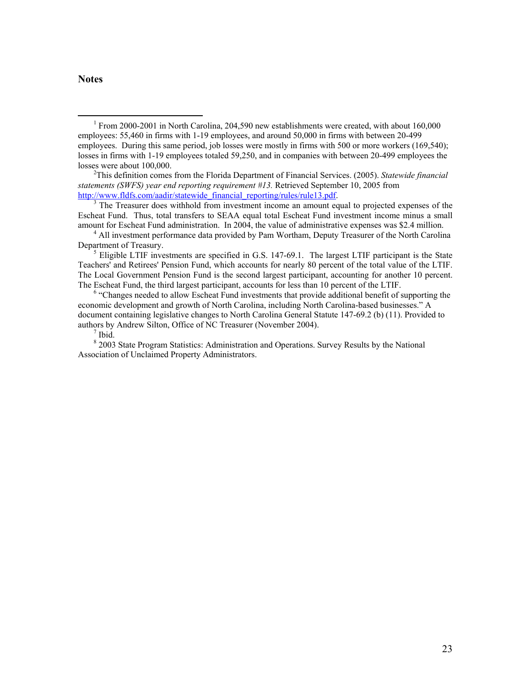#### **Notes**

This definition comes from the Florida Department of Financial Services. (2005). *Statewide financial statements (SWFS) year end reporting requirement #13.* Retrieved September 10, 2005 from http://www.fldfs.com/aadir/statewide\_financial\_reporting/rules/rule13.pdf.

<sup>3</sup> The Treasurer does withhold from investment income an amount equal to projected expenses of the Escheat Fund. Thus, total transfers to SEAA equal total Escheat Fund investment income minus a small amount for Escheat Fund administration. In 2004, the value of administrative expenses was \$2.4 million. 4

<sup>6</sup> "Changes needed to allow Escheat Fund investments that provide additional benefit of supporting the economic development and growth of North Carolina, including North Carolina-based businesses." A document containing legislative changes to North Carolina General Statute 147-69.2 (b) (11). Provided to authors by Andrew Silton, Office of NC Treasurer (November 2004).

 $<sup>7</sup>$  Ibid.</sup>

 <sup>1</sup> From 2000-2001 in North Carolina, 204,590 new establishments were created, with about 160,000 employees: 55,460 in firms with 1-19 employees, and around 50,000 in firms with between 20-499 employees. During this same period, job losses were mostly in firms with 500 or more workers (169,540); losses in firms with 1-19 employees totaled 59,250, and in companies with between 20-499 employees the losses were about 100,000.

 $<sup>4</sup>$  All investment performance data provided by Pam Wortham, Deputy Treasurer of the North Carolina</sup> Department of Treasury.

Eligible LTIF investments are specified in G.S. 147-69.1. The largest LTIF participant is the State Teachers' and Retirees' Pension Fund, which accounts for nearly 80 percent of the total value of the LTIF. The Local Government Pension Fund is the second largest participant, accounting for another 10 percent. The Escheat Fund, the third largest participant, accounts for less than 10 percent of the LTIF. 6

<sup>&</sup>lt;sup>8</sup> 2003 State Program Statistics: Administration and Operations. Survey Results by the National Association of Unclaimed Property Administrators.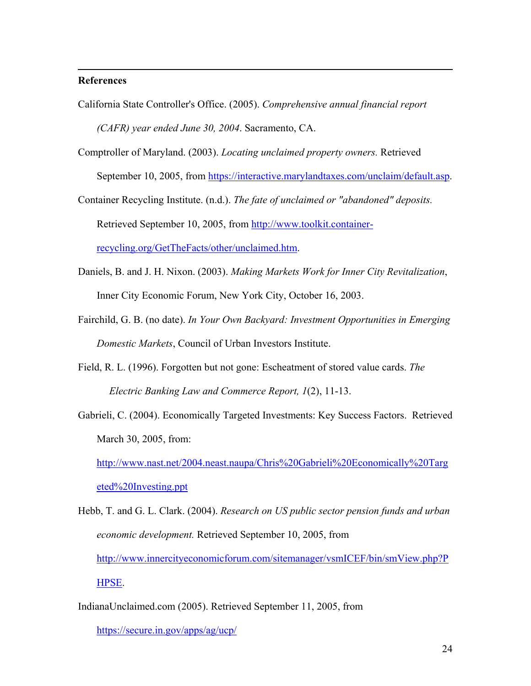## **References**

 $\overline{a}$ 

- California State Controller's Office. (2005). *Comprehensive annual financial report (CAFR) year ended June 30, 2004*. Sacramento, CA.
- Comptroller of Maryland. (2003). *Locating unclaimed property owners.* Retrieved September 10, 2005, from https://interactive.marylandtaxes.com/unclaim/default.asp.

Container Recycling Institute. (n.d.). *The fate of unclaimed or "abandoned" deposits.* Retrieved September 10, 2005, from http://www.toolkit.containerrecycling.org/GetTheFacts/other/unclaimed.htm.

- Daniels, B. and J. H. Nixon. (2003). *Making Markets Work for Inner City Revitalization*, Inner City Economic Forum, New York City, October 16, 2003.
- Fairchild, G. B. (no date). *In Your Own Backyard: Investment Opportunities in Emerging Domestic Markets*, Council of Urban Investors Institute.
- Field, R. L. (1996). Forgotten but not gone: Escheatment of stored value cards. *The Electric Banking Law and Commerce Report, 1*(2), 11-13.
- Gabrieli, C. (2004). Economically Targeted Investments: Key Success Factors. Retrieved March 30, 2005, from:

http://www.nast.net/2004.neast.naupa/Chris%20Gabrieli%20Economically%20Targ eted%20Investing.ppt

- Hebb, T. and G. L. Clark. (2004). *Research on US public sector pension funds and urban economic development.* Retrieved September 10, 2005, from http://www.innercityeconomicforum.com/sitemanager/vsmICEF/bin/smView.php?P HPSE.
- IndianaUnclaimed.com (2005). Retrieved September 11, 2005, from https://secure.in.gov/apps/ag/ucp/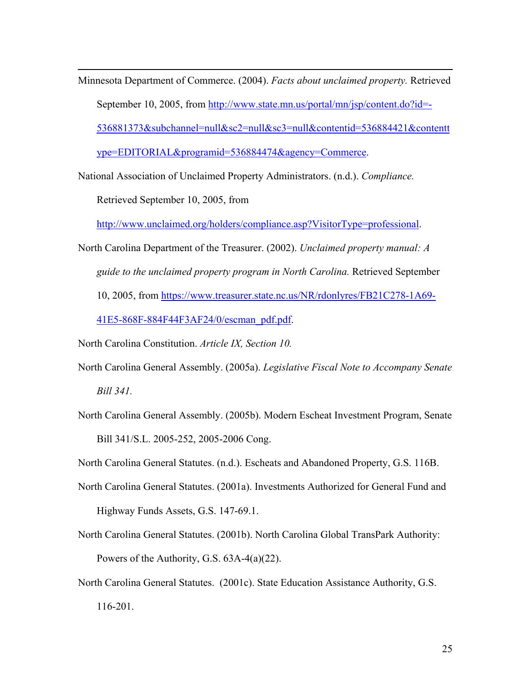Minnesota Department of Commerce. (2004). *Facts about unclaimed property.* Retrieved September 10, 2005, from http://www.state.mn.us/portal/mn/jsp/content.do?id=-536881373&subchannel=null&sc2=null&sc3=null&contentid=536884421&contentt ype=EDITORIAL&programid=536884474&agency=Commerce.

National Association of Unclaimed Property Administrators. (n.d.). *Compliance.*

Retrieved September 10, 2005, from

 $\overline{a}$ 

http://www.unclaimed.org/holders/compliance.asp?VisitorType=professional.

- North Carolina Department of the Treasurer. (2002). *Unclaimed property manual: A guide to the unclaimed property program in North Carolina.* Retrieved September 10, 2005, from https://www.treasurer.state.nc.us/NR/rdonlyres/FB21C278-1A69- 41E5-868F-884F44F3AF24/0/escman\_pdf.pdf.
- North Carolina Constitution. *Article IX, Section 10.*
- North Carolina General Assembly. (2005a). *Legislative Fiscal Note to Accompany Senate Bill 341.*
- North Carolina General Assembly. (2005b). Modern Escheat Investment Program, Senate Bill 341/S.L. 2005-252, 2005-2006 Cong.

North Carolina General Statutes. (n.d.). Escheats and Abandoned Property, G.S. 116B.

- North Carolina General Statutes. (2001a). Investments Authorized for General Fund and Highway Funds Assets, G.S. 147-69.1.
- North Carolina General Statutes. (2001b). North Carolina Global TransPark Authority: Powers of the Authority, G.S. 63A-4(a)(22).
- North Carolina General Statutes. (2001c). State Education Assistance Authority, G.S. 116-201.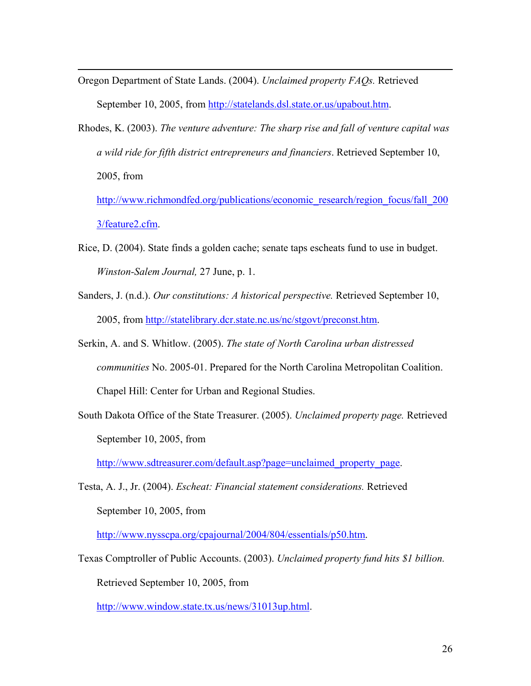Oregon Department of State Lands. (2004). *Unclaimed property FAQs.* Retrieved September 10, 2005, from http://statelands.dsl.state.or.us/upabout.htm.

 $\overline{a}$ 

Rhodes, K. (2003). *The venture adventure: The sharp rise and fall of venture capital was a wild ride for fifth district entrepreneurs and financiers*. Retrieved September 10, 2005, from

http://www.richmondfed.org/publications/economic\_research/region\_focus/fall\_200 3/feature2.cfm.

- Rice, D. (2004). State finds a golden cache; senate taps escheats fund to use in budget. *Winston-Salem Journal,* 27 June, p. 1.
- Sanders, J. (n.d.). *Our constitutions: A historical perspective.* Retrieved September 10, 2005, from http://statelibrary.dcr.state.nc.us/nc/stgovt/preconst.htm.
- Serkin, A. and S. Whitlow. (2005). *The state of North Carolina urban distressed communities* No. 2005-01. Prepared for the North Carolina Metropolitan Coalition. Chapel Hill: Center for Urban and Regional Studies.
- South Dakota Office of the State Treasurer. (2005). *Unclaimed property page.* Retrieved September 10, 2005, from

http://www.sdtreasurer.com/default.asp?page=unclaimed\_property\_page.

Testa, A. J., Jr. (2004). *Escheat: Financial statement considerations.* Retrieved September 10, 2005, from

http://www.nysscpa.org/cpajournal/2004/804/essentials/p50.htm.

Texas Comptroller of Public Accounts. (2003). *Unclaimed property fund hits \$1 billion.* Retrieved September 10, 2005, from

http://www.window.state.tx.us/news/31013up.html.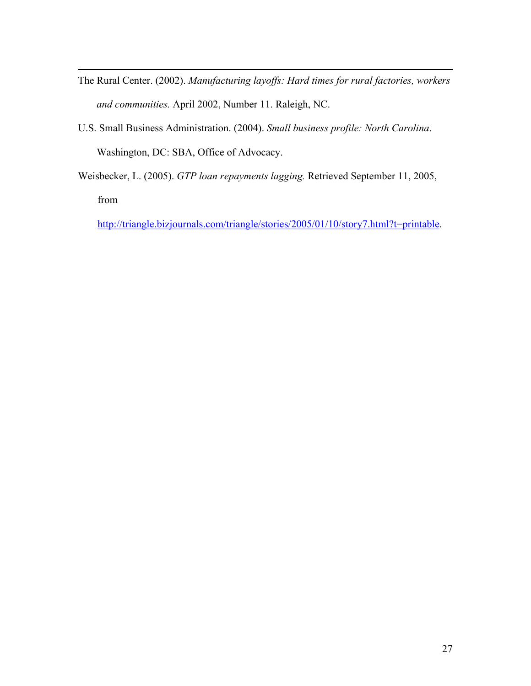- The Rural Center. (2002). *Manufacturing layoffs: Hard times for rural factories, workers and communities.* April 2002, Number 11. Raleigh, NC.
- U.S. Small Business Administration. (2004). *Small business profile: North Carolina*. Washington, DC: SBA, Office of Advocacy.

 $\overline{a}$ 

Weisbecker, L. (2005). *GTP loan repayments lagging.* Retrieved September 11, 2005, from

http://triangle.bizjournals.com/triangle/stories/2005/01/10/story7.html?t=printable.